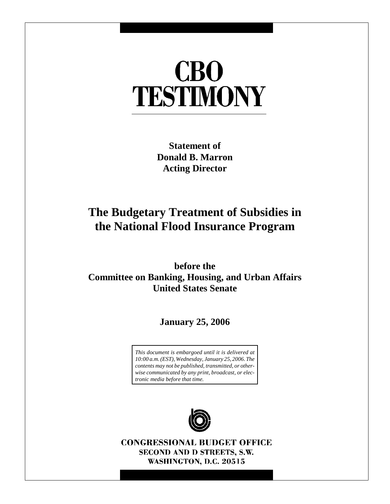# **CBO** TESTIMONY

**Statement of Donald B. Marron Acting Director**

## **The Budgetary Treatment of Subsidies in the National Flood Insurance Program**

**before the Committee on Banking, Housing, and Urban Affairs United States Senate**

**January 25, 2006**

*This document is embargoed until it is delivered at 10:00 a.m. (EST), Wednesday, January 25, 2006. The contents may not be published, transmitted, or otherwise communicated by any print, broadcast, or electronic media before that time.*



**CONGRESSIONAL BUDGET OFFICE** SECOND AND D STREETS, S.W. WASHINGTON, D.C. 20515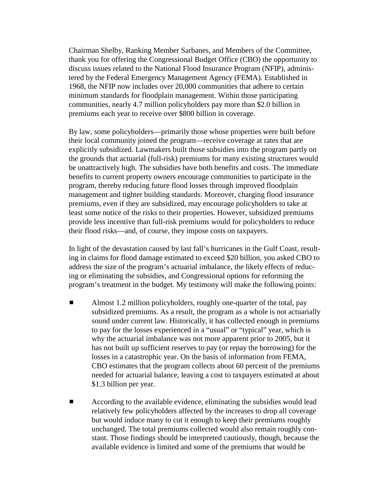Chairman Shelby, Ranking Member Sarbanes, and Members of the Committee, thank you for offering the Congressional Budget Office (CBO) the opportunity to discuss issues related to the National Flood Insurance Program (NFIP), administered by the Federal Emergency Management Agency (FEMA). Established in 1968, the NFIP now includes over 20,000 communities that adhere to certain minimum standards for floodplain management. Within those participating communities, nearly 4.7 million policyholders pay more than \$2.0 billion in premiums each year to receive over \$800 billion in coverage.

By law, some policyholders—primarily those whose properties were built before their local community joined the program—receive coverage at rates that are explicitly subsidized. Lawmakers built those subsidies into the program partly on the grounds that actuarial (full-risk) premiums for many existing structures would be unattractively high. The subsidies have both benefits and costs. The immediate benefits to current property owners encourage communities to participate in the program, thereby reducing future flood losses through improved floodplain management and tighter building standards. Moreover, charging flood insurance premiums, even if they are subsidized, may encourage policyholders to take at least some notice of the risks to their properties. However, subsidized premiums provide less incentive than full-risk premiums would for policyholders to reduce their flood risks—and, of course, they impose costs on taxpayers.

In light of the devastation caused by last fall's hurricanes in the Gulf Coast, resulting in claims for flood damage estimated to exceed \$20 billion, you asked CBO to address the size of the program's actuarial imbalance, the likely effects of reducing or eliminating the subsidies, and Congressional options for reforming the program's treatment in the budget. My testimony will make the following points:

- Almost 1.2 million policyholders, roughly one-quarter of the total, pay subsidized premiums. As a result, the program as a whole is not actuarially sound under current law. Historically, it has collected enough in premiums to pay for the losses experienced in a "usual" or "typical" year, which is why the actuarial imbalance was not more apparent prior to 2005, but it has not built up sufficient reserves to pay (or repay the borrowing) for the losses in a catastrophic year. On the basis of information from FEMA, CBO estimates that the program collects about 60 percent of the premiums needed for actuarial balance, leaving a cost to taxpayers estimated at about \$1.3 billion per year.
- According to the available evidence, eliminating the subsidies would lead relatively few policyholders affected by the increases to drop all coverage but would induce many to cut it enough to keep their premiums roughly unchanged. The total premiums collected would also remain roughly constant. Those findings should be interpreted cautiously, though, because the available evidence is limited and some of the premiums that would be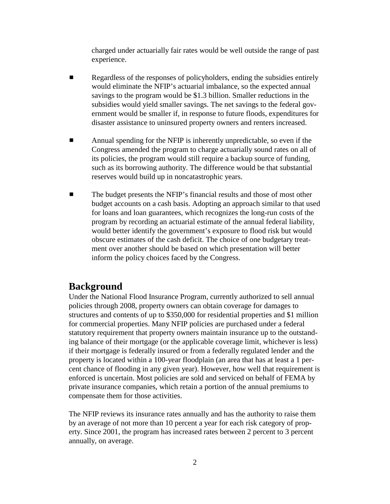charged under actuarially fair rates would be well outside the range of past experience.

- **EXECUTE:** Regardless of the responses of policyholders, ending the subsidies entirely would eliminate the NFIP's actuarial imbalance, so the expected annual savings to the program would be \$1.3 billion. Smaller reductions in the subsidies would yield smaller savings. The net savings to the federal government would be smaller if, in response to future floods, expenditures for disaster assistance to uninsured property owners and renters increased.
- $\blacksquare$  Annual spending for the NFIP is inherently unpredictable, so even if the Congress amended the program to charge actuarially sound rates on all of its policies, the program would still require a backup source of funding, such as its borrowing authority. The difference would be that substantial reserves would build up in noncatastrophic years.
- **Example 1** The budget presents the NFIP's financial results and those of most other budget accounts on a cash basis. Adopting an approach similar to that used for loans and loan guarantees, which recognizes the long-run costs of the program by recording an actuarial estimate of the annual federal liability, would better identify the government's exposure to flood risk but would obscure estimates of the cash deficit. The choice of one budgetary treatment over another should be based on which presentation will better inform the policy choices faced by the Congress.

#### **Background**

Under the National Flood Insurance Program, currently authorized to sell annual policies through 2008, property owners can obtain coverage for damages to structures and contents of up to \$350,000 for residential properties and \$1 million for commercial properties. Many NFIP policies are purchased under a federal statutory requirement that property owners maintain insurance up to the outstanding balance of their mortgage (or the applicable coverage limit, whichever is less) if their mortgage is federally insured or from a federally regulated lender and the property is located within a 100-year floodplain (an area that has at least a 1 percent chance of flooding in any given year). However, how well that requirement is enforced is uncertain. Most policies are sold and serviced on behalf of FEMA by private insurance companies, which retain a portion of the annual premiums to compensate them for those activities.

The NFIP reviews its insurance rates annually and has the authority to raise them by an average of not more than 10 percent a year for each risk category of property. Since 2001, the program has increased rates between 2 percent to 3 percent annually, on average.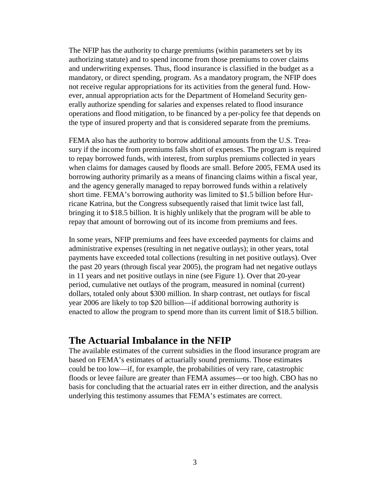The NFIP has the authority to charge premiums (within parameters set by its authorizing statute) and to spend income from those premiums to cover claims and underwriting expenses. Thus, flood insurance is classified in the budget as a mandatory, or direct spending, program. As a mandatory program, the NFIP does not receive regular appropriations for its activities from the general fund. However, annual appropriation acts for the Department of Homeland Security generally authorize spending for salaries and expenses related to flood insurance operations and flood mitigation, to be financed by a per-policy fee that depends on the type of insured property and that is considered separate from the premiums.

FEMA also has the authority to borrow additional amounts from the U.S. Treasury if the income from premiums falls short of expenses. The program is required to repay borrowed funds, with interest, from surplus premiums collected in years when claims for damages caused by floods are small. Before 2005, FEMA used its borrowing authority primarily as a means of financing claims within a fiscal year, and the agency generally managed to repay borrowed funds within a relatively short time. FEMA's borrowing authority was limited to \$1.5 billion before Hurricane Katrina, but the Congress subsequently raised that limit twice last fall, bringing it to \$18.5 billion. It is highly unlikely that the program will be able to repay that amount of borrowing out of its income from premiums and fees.

In some years, NFIP premiums and fees have exceeded payments for claims and administrative expenses (resulting in net negative outlays); in other years, total payments have exceeded total collections (resulting in net positive outlays). Over the past 20 years (through fiscal year 2005), the program had net negative outlays in 11 years and net positive outlays in nine (see Figure 1). Over that 20-year period, cumulative net outlays of the program, measured in nominal (current) dollars, totaled only about \$300 million. In sharp contrast, net outlays for fiscal year 2006 are likely to top \$20 billion—if additional borrowing authority is enacted to allow the program to spend more than its current limit of \$18.5 billion.

#### **The Actuarial Imbalance in the NFIP**

The available estimates of the current subsidies in the flood insurance program are based on FEMA's estimates of actuarially sound premiums. Those estimates could be too low—if, for example, the probabilities of very rare, catastrophic floods or levee failure are greater than FEMA assumes—or too high. CBO has no basis for concluding that the actuarial rates err in either direction, and the analysis underlying this testimony assumes that FEMA's estimates are correct.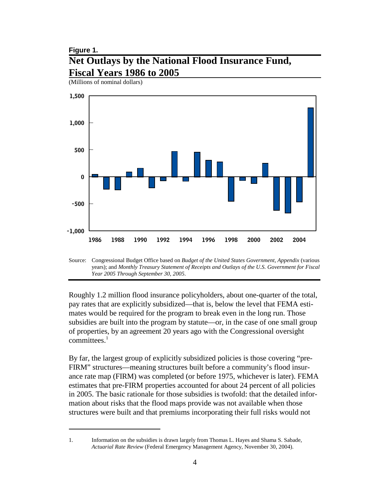## **Figure 1. Net Outlays by the National Flood Insurance Fund, Fiscal Years 1986 to 2005**

(Millions of nominal dollars)



Source: Congressional Budget Office based on *Budget of the United States Government, Appendix* (various years); and *Monthly Treasury Statement of Receipts and Outlays of the U.S. Government for Fiscal Year 2005 Through September 30, 2005*.

Roughly 1.2 million flood insurance policyholders, about one-quarter of the total, pay rates that are explicitly subsidized—that is, below the level that FEMA estimates would be required for the program to break even in the long run. Those subsidies are built into the program by statute—or, in the case of one small group of properties, by an agreement 20 years ago with the Congressional oversight committees. $<sup>1</sup>$ </sup>

By far, the largest group of explicitly subsidized policies is those covering "pre-FIRM" structures—meaning structures built before a community's flood insurance rate map (FIRM) was completed (or before 1975, whichever is later). FEMA estimates that pre-FIRM properties accounted for about 24 percent of all policies in 2005. The basic rationale for those subsidies is twofold: that the detailed information about risks that the flood maps provide was not available when those structures were built and that premiums incorporating their full risks would not

<sup>1.</sup> Information on the subsidies is drawn largely from Thomas L. Hayes and Shama S. Sabade, *Actuarial Rate Review* (Federal Emergency Management Agency, November 30, 2004).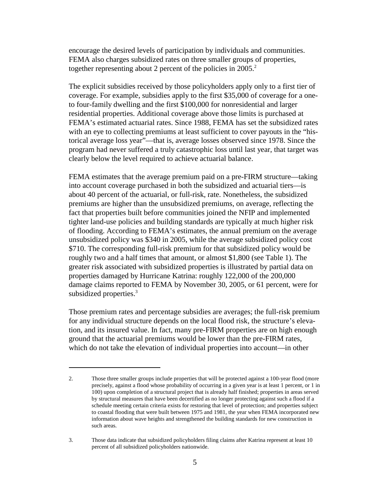encourage the desired levels of participation by individuals and communities. FEMA also charges subsidized rates on three smaller groups of properties, together representing about 2 percent of the policies in  $2005<sup>2</sup>$ .

The explicit subsidies received by those policyholders apply only to a first tier of coverage. For example, subsidies apply to the first \$35,000 of coverage for a oneto four-family dwelling and the first \$100,000 for nonresidential and larger residential properties. Additional coverage above those limits is purchased at FEMA's estimated actuarial rates. Since 1988, FEMA has set the subsidized rates with an eye to collecting premiums at least sufficient to cover payouts in the "historical average loss year"—that is, average losses observed since 1978. Since the program had never suffered a truly catastrophic loss until last year, that target was clearly below the level required to achieve actuarial balance.

FEMA estimates that the average premium paid on a pre-FIRM structure—taking into account coverage purchased in both the subsidized and actuarial tiers—is about 40 percent of the actuarial, or full-risk, rate. Nonetheless, the subsidized premiums are higher than the unsubsidized premiums, on average, reflecting the fact that properties built before communities joined the NFIP and implemented tighter land-use policies and building standards are typically at much higher risk of flooding. According to FEMA's estimates, the annual premium on the average unsubsidized policy was \$340 in 2005, while the average subsidized policy cost \$710. The corresponding full-risk premium for that subsidized policy would be roughly two and a half times that amount, or almost \$1,800 (see Table 1). The greater risk associated with subsidized properties is illustrated by partial data on properties damaged by Hurricane Katrina: roughly 122,000 of the 200,000 damage claims reported to FEMA by November 30, 2005, or 61 percent, were for subsidized properties.<sup>3</sup>

Those premium rates and percentage subsidies are averages; the full-risk premium for any individual structure depends on the local flood risk, the structure's elevation, and its insured value. In fact, many pre-FIRM properties are on high enough ground that the actuarial premiums would be lower than the pre-FIRM rates, which do not take the elevation of individual properties into account—in other

<sup>2.</sup> Those three smaller groups include properties that will be protected against a 100-year flood (more precisely, against a flood whose probability of occurring in a given year is at least 1 percent, or 1 in 100) upon completion of a structural project that is already half finished; properties in areas served by structural measures that have been decertified as no longer protecting against such a flood if a schedule meeting certain criteria exists for restoring that level of protection; and properties subject to coastal flooding that were built between 1975 and 1981, the year when FEMA incorporated new information about wave heights and strengthened the building standards for new construction in such areas.

<sup>3.</sup> Those data indicate that subsidized policyholders filing claims after Katrina represent at least 10 percent of all subsidized policyholders nationwide.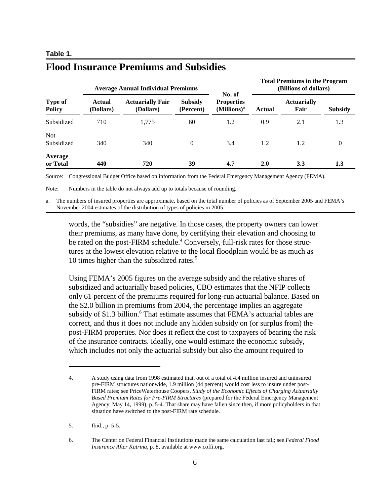#### **Table 1.**

| <b>Type of</b><br><b>Policy</b> | <b>Average Annual Individual Premiums</b> |                                      |                             | No. of                                       | <b>Total Premiums in the Program</b><br>(Billions of dollars) |                            |                |
|---------------------------------|-------------------------------------------|--------------------------------------|-----------------------------|----------------------------------------------|---------------------------------------------------------------|----------------------------|----------------|
|                                 | Actual<br>(Dollars)                       | <b>Actuarially Fair</b><br>(Dollars) | <b>Subsidy</b><br>(Percent) | <b>Properties</b><br>(Millions) <sup>a</sup> | Actual                                                        | <b>Actuarially</b><br>Fair | <b>Subsidy</b> |
| Subsidized                      | 710                                       | 1.775                                | 60                          | 1.2                                          | 0.9                                                           | 2.1                        | 1.3            |
| <b>Not</b><br>Subsidized        | 340                                       | 340                                  | $\theta$                    | 3.4                                          | 1.2                                                           | 1.2                        | $\overline{0}$ |
| Average<br>or Total             | 440                                       | 720                                  | 39                          | 4.7                                          | <b>2.0</b>                                                    | <b>3.3</b>                 | 1.3            |

## **Flood Insurance Premiums and Subsidies**

Source: Congressional Budget Office based on information from the Federal Emergency Management Agency (FEMA).

Note: Numbers in the table do not always add up to totals because of rounding.

a. The numbers of insured properties are approximate, based on the total number of policies as of September 2005 and FEMA's November 2004 estimates of the distribution of types of policies in 2005.

words, the "subsidies" are negative. In those cases, the property owners can lower their premiums, as many have done, by certifying their elevation and choosing to be rated on the post-FIRM schedule.<sup>4</sup> Conversely, full-risk rates for those structures at the lowest elevation relative to the local floodplain would be as much as 10 times higher than the subsidized rates.<sup>5</sup>

Using FEMA's 2005 figures on the average subsidy and the relative shares of subsidized and actuarially based policies, CBO estimates that the NFIP collects only 61 percent of the premiums required for long-run actuarial balance. Based on the \$2.0 billion in premiums from 2004, the percentage implies an aggregate subsidy of \$1.3 billion.<sup>6</sup> That estimate assumes that FEMA's actuarial tables are correct, and thus it does not include any hidden subsidy on (or surplus from) the post-FIRM properties. Nor does it reflect the cost to taxpayers of bearing the risk of the insurance contracts. Ideally, one would estimate the economic subsidy, which includes not only the actuarial subsidy but also the amount required to

<sup>4.</sup> A study using data from 1998 estimated that, out of a total of 4.4 million insured and uninsured pre-FIRM structures nationwide, 1.9 million (44 percent) would cost less to insure under post-FIRM rates; see PriceWaterhouse Coopers, *Study of the Economic Effects of Charging Actuarially Based Premium Rates for Pre-FIRM Structures* (prepared for the Federal Emergency Management Agency, May 14, 1999), p. 5-4. That share may have fallen since then, if more policyholders in that situation have switched to the post-FIRM rate schedule.

<sup>5.</sup> Ibid., p. 5-5.

<sup>6.</sup> The Center on Federal Financial Institutions made the same calculation last fall; see *Federal Flood Insurance After Katrina*, p. 8, available at www.coffi.org.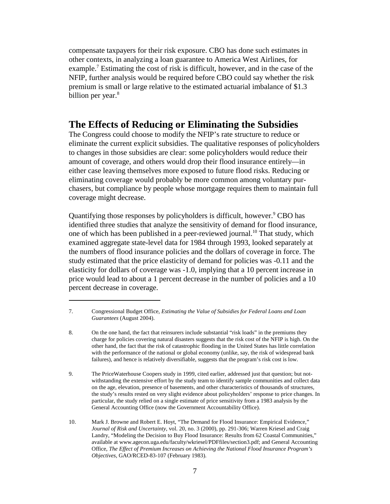compensate taxpayers for their risk exposure. CBO has done such estimates in other contexts, in analyzing a loan guarantee to America West Airlines, for example.<sup>7</sup> Estimating the cost of risk is difficult, however, and in the case of the NFIP, further analysis would be required before CBO could say whether the risk premium is small or large relative to the estimated actuarial imbalance of \$1.3 billion per year.<sup>8</sup>

#### **The Effects of Reducing or Eliminating the Subsidies**

The Congress could choose to modify the NFIP's rate structure to reduce or eliminate the current explicit subsidies. The qualitative responses of policyholders to changes in those subsidies are clear: some policyholders would reduce their amount of coverage, and others would drop their flood insurance entirely—in either case leaving themselves more exposed to future flood risks. Reducing or eliminating coverage would probably be more common among voluntary purchasers, but compliance by people whose mortgage requires them to maintain full coverage might decrease.

Quantifying those responses by policyholders is difficult, however.  $\degree$  CBO has identified three studies that analyze the sensitivity of demand for flood insurance, one of which has been published in a peer-reviewed journal.<sup>10</sup> That study, which examined aggregate state-level data for 1984 through 1993, looked separately at the numbers of flood insurance policies and the dollars of coverage in force. The study estimated that the price elasticity of demand for policies was -0.11 and the elasticity for dollars of coverage was -1.0, implying that a 10 percent increase in price would lead to about a 1 percent decrease in the number of policies and a 10 percent decrease in coverage.

<sup>7.</sup> Congressional Budget Office, *Estimating the Value of Subsidies for Federal Loans and Loan Guarantees* (August 2004).

<sup>8.</sup> On the one hand, the fact that reinsurers include substantial "risk loads" in the premiums they charge for policies covering natural disasters suggests that the risk cost of the NFIP is high. On the other hand, the fact that the risk of catastrophic flooding in the United States has little correlation with the performance of the national or global economy (unlike, say, the risk of widespread bank failures), and hence is relatively diversifiable, suggests that the program's risk cost is low.

<sup>9.</sup> The PriceWaterhouse Coopers study in 1999, cited earlier, addressed just that question; but notwithstanding the extensive effort by the study team to identify sample communities and collect data on the age, elevation, presence of basements, and other characteristics of thousands of structures, the study's results rested on very slight evidence about policyholders' response to price changes. In particular, the study relied on a single estimate of price sensitivity from a 1983 analysis by the General Accounting Office (now the Government Accountability Office).

<sup>10.</sup> Mark J. Browne and Robert E. Hoyt, "The Demand for Flood Insurance: Empirical Evidence," *Journal of Risk and Uncertainty*, vol. 20, no. 3 (2000), pp. 291-306; Warren Kriesel and Craig Landry, "Modeling the Decision to Buy Flood Insurance: Results from 62 Coastal Communities," available at www.agecon.uga.edu/faculty/wkriesel/PDFfiles/section3.pdf; and General Accounting Office, *The Effect of Premium Increases on Achieving the National Flood Insurance Program's Objectives*, GAO/RCED-83-107 (February 1983).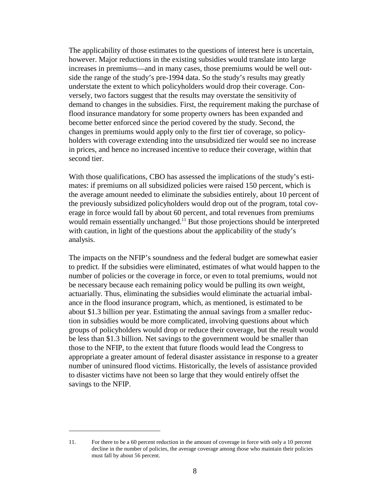The applicability of those estimates to the questions of interest here is uncertain, however. Major reductions in the existing subsidies would translate into large increases in premiums—and in many cases, those premiums would be well outside the range of the study's pre-1994 data. So the study's results may greatly understate the extent to which policyholders would drop their coverage. Conversely, two factors suggest that the results may overstate the sensitivity of demand to changes in the subsidies. First, the requirement making the purchase of flood insurance mandatory for some property owners has been expanded and become better enforced since the period covered by the study. Second, the changes in premiums would apply only to the first tier of coverage, so policyholders with coverage extending into the unsubsidized tier would see no increase in prices, and hence no increased incentive to reduce their coverage, within that second tier.

With those qualifications, CBO has assessed the implications of the study's estimates: if premiums on all subsidized policies were raised 150 percent, which is the average amount needed to eliminate the subsidies entirely, about 10 percent of the previously subsidized policyholders would drop out of the program, total coverage in force would fall by about 60 percent, and total revenues from premiums would remain essentially unchanged.<sup>11</sup> But those projections should be interpreted with caution, in light of the questions about the applicability of the study's analysis.

The impacts on the NFIP's soundness and the federal budget are somewhat easier to predict. If the subsidies were eliminated, estimates of what would happen to the number of policies or the coverage in force, or even to total premiums, would not be necessary because each remaining policy would be pulling its own weight, actuarially. Thus, eliminating the subsidies would eliminate the actuarial imbalance in the flood insurance program, which, as mentioned, is estimated to be about \$1.3 billion per year. Estimating the annual savings from a smaller reduction in subsidies would be more complicated, involving questions about which groups of policyholders would drop or reduce their coverage, but the result would be less than \$1.3 billion. Net savings to the government would be smaller than those to the NFIP, to the extent that future floods would lead the Congress to appropriate a greater amount of federal disaster assistance in response to a greater number of uninsured flood victims. Historically, the levels of assistance provided to disaster victims have not been so large that they would entirely offset the savings to the NFIP.

<sup>11.</sup> For there to be a 60 percent reduction in the amount of coverage in force with only a 10 percent decline in the number of policies, the average coverage among those who maintain their policies must fall by about 56 percent.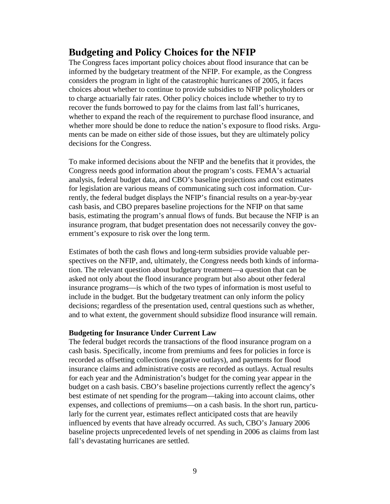## **Budgeting and Policy Choices for the NFIP**

The Congress faces important policy choices about flood insurance that can be informed by the budgetary treatment of the NFIP. For example, as the Congress considers the program in light of the catastrophic hurricanes of 2005, it faces choices about whether to continue to provide subsidies to NFIP policyholders or to charge actuarially fair rates. Other policy choices include whether to try to recover the funds borrowed to pay for the claims from last fall's hurricanes, whether to expand the reach of the requirement to purchase flood insurance, and whether more should be done to reduce the nation's exposure to flood risks. Arguments can be made on either side of those issues, but they are ultimately policy decisions for the Congress.

To make informed decisions about the NFIP and the benefits that it provides, the Congress needs good information about the program's costs. FEMA's actuarial analysis, federal budget data, and CBO's baseline projections and cost estimates for legislation are various means of communicating such cost information. Currently, the federal budget displays the NFIP's financial results on a year-by-year cash basis, and CBO prepares baseline projections for the NFIP on that same basis, estimating the program's annual flows of funds. But because the NFIP is an insurance program, that budget presentation does not necessarily convey the government's exposure to risk over the long term.

Estimates of both the cash flows and long-term subsidies provide valuable perspectives on the NFIP, and, ultimately, the Congress needs both kinds of information. The relevant question about budgetary treatment—a question that can be asked not only about the flood insurance program but also about other federal insurance programs—is which of the two types of information is most useful to include in the budget. But the budgetary treatment can only inform the policy decisions; regardless of the presentation used, central questions such as whether, and to what extent, the government should subsidize flood insurance will remain.

#### **Budgeting for Insurance Under Current Law**

The federal budget records the transactions of the flood insurance program on a cash basis. Specifically, income from premiums and fees for policies in force is recorded as offsetting collections (negative outlays), and payments for flood insurance claims and administrative costs are recorded as outlays. Actual results for each year and the Administration's budget for the coming year appear in the budget on a cash basis. CBO's baseline projections currently reflect the agency's best estimate of net spending for the program—taking into account claims, other expenses, and collections of premiums—on a cash basis. In the short run, particularly for the current year, estimates reflect anticipated costs that are heavily influenced by events that have already occurred. As such, CBO's January 2006 baseline projects unprecedented levels of net spending in 2006 as claims from last fall's devastating hurricanes are settled.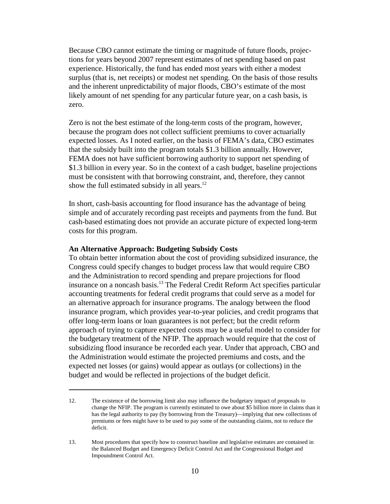Because CBO cannot estimate the timing or magnitude of future floods, projections for years beyond 2007 represent estimates of net spending based on past experience. Historically, the fund has ended most years with either a modest surplus (that is, net receipts) or modest net spending. On the basis of those results and the inherent unpredictability of major floods, CBO's estimate of the most likely amount of net spending for any particular future year, on a cash basis, is zero.

Zero is not the best estimate of the long-term costs of the program, however, because the program does not collect sufficient premiums to cover actuarially expected losses. As I noted earlier, on the basis of FEMA's data, CBO estimates that the subsidy built into the program totals \$1.3 billion annually. However, FEMA does not have sufficient borrowing authority to support net spending of \$1.3 billion in every year. So in the context of a cash budget, baseline projections must be consistent with that borrowing constraint, and, therefore, they cannot show the full estimated subsidy in all years.<sup>12</sup>

In short, cash-basis accounting for flood insurance has the advantage of being simple and of accurately recording past receipts and payments from the fund. But cash-based estimating does not provide an accurate picture of expected long-term costs for this program.

#### **An Alternative Approach: Budgeting Subsidy Costs**

To obtain better information about the cost of providing subsidized insurance, the Congress could specify changes to budget process law that would require CBO and the Administration to record spending and prepare projections for flood insurance on a noncash basis.<sup>13</sup> The Federal Credit Reform Act specifies particular accounting treatments for federal credit programs that could serve as a model for an alternative approach for insurance programs. The analogy between the flood insurance program, which provides year-to-year policies, and credit programs that offer long-term loans or loan guarantees is not perfect; but the credit reform approach of trying to capture expected costs may be a useful model to consider for the budgetary treatment of the NFIP. The approach would require that the cost of subsidizing flood insurance be recorded each year. Under that approach, CBO and the Administration would estimate the projected premiums and costs, and the expected net losses (or gains) would appear as outlays (or collections) in the budget and would be reflected in projections of the budget deficit.

<sup>12.</sup> The existence of the borrowing limit also may influence the budgetary impact of proposals to change the NFIP. The program is currently estimated to owe about \$5 billion more in claims than it has the legal authority to pay (by borrowing from the Treasury)—implying that new collections of premiums or fees might have to be used to pay some of the outstanding claims, not to reduce the deficit.

<sup>13.</sup> Most procedures that specify how to construct baseline and legislative estimates are contained in the Balanced Budget and Emergency Deficit Control Act and the Congressional Budget and Impoundment Control Act.